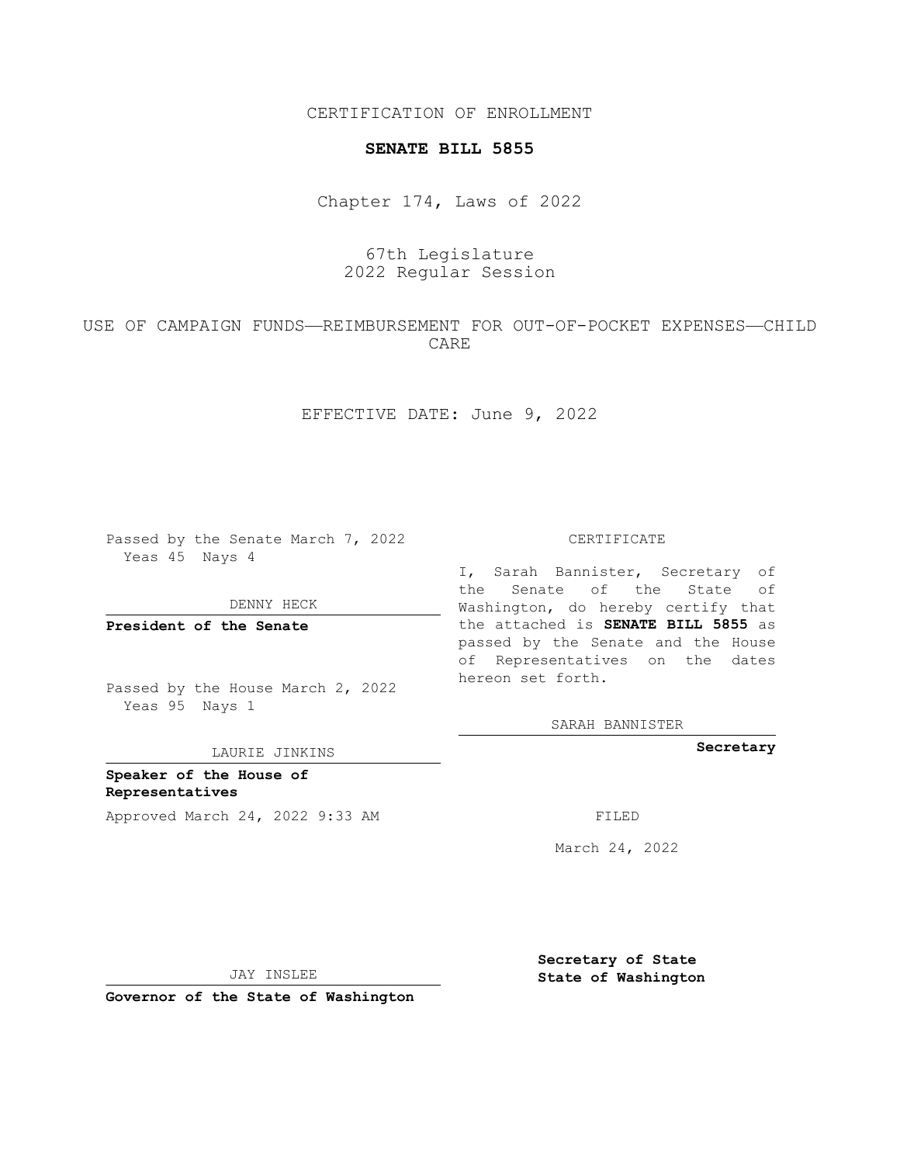CERTIFICATION OF ENROLLMENT

### **SENATE BILL 5855**

Chapter 174, Laws of 2022

# 67th Legislature 2022 Regular Session

## USE OF CAMPAIGN FUNDS—REIMBURSEMENT FOR OUT-OF-POCKET EXPENSES—CHILD CARE

EFFECTIVE DATE: June 9, 2022

Passed by the Senate March 7, 2022 Yeas 45 Nays 4

DENNY HECK

**President of the Senate**

Passed by the House March 2, 2022 Yeas 95 Nays 1

LAURIE JINKINS

**Speaker of the House of Representatives** Approved March 24, 2022 9:33 AM FILED

#### CERTIFICATE

I, Sarah Bannister, Secretary of the Senate of the State of Washington, do hereby certify that the attached is **SENATE BILL 5855** as passed by the Senate and the House of Representatives on the dates hereon set forth.

SARAH BANNISTER

**Secretary**

March 24, 2022

JAY INSLEE

**Governor of the State of Washington**

**Secretary of State State of Washington**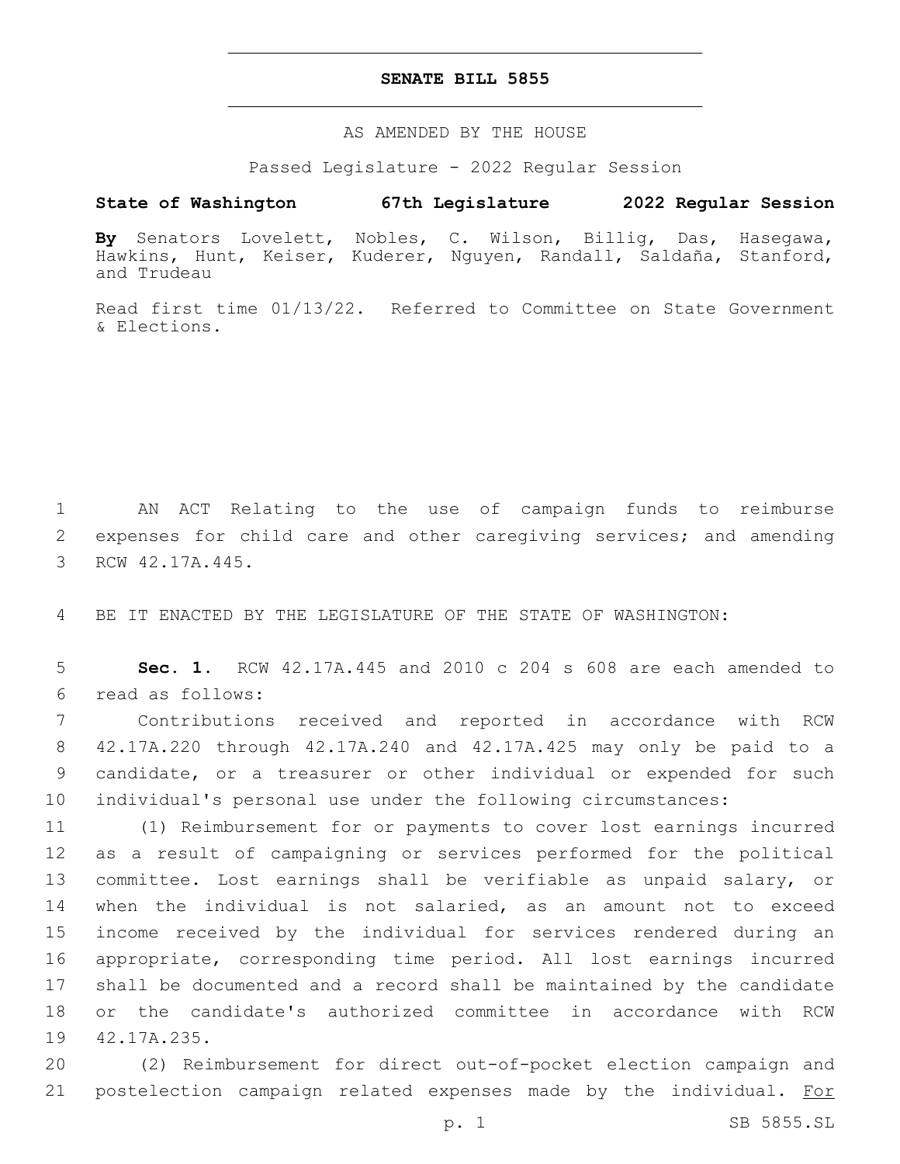### **SENATE BILL 5855**

AS AMENDED BY THE HOUSE

Passed Legislature - 2022 Regular Session

## **State of Washington 67th Legislature 2022 Regular Session**

**By** Senators Lovelett, Nobles, C. Wilson, Billig, Das, Hasegawa, Hawkins, Hunt, Keiser, Kuderer, Nguyen, Randall, Saldaña, Stanford, and Trudeau

Read first time 01/13/22. Referred to Committee on State Government & Elections.

1 AN ACT Relating to the use of campaign funds to reimburse 2 expenses for child care and other caregiving services; and amending 3 RCW 42.17A.445.

4 BE IT ENACTED BY THE LEGISLATURE OF THE STATE OF WASHINGTON:

5 **Sec. 1.** RCW 42.17A.445 and 2010 c 204 s 608 are each amended to read as follows:6

 Contributions received and reported in accordance with RCW 42.17A.220 through 42.17A.240 and 42.17A.425 may only be paid to a candidate, or a treasurer or other individual or expended for such individual's personal use under the following circumstances:

 (1) Reimbursement for or payments to cover lost earnings incurred as a result of campaigning or services performed for the political committee. Lost earnings shall be verifiable as unpaid salary, or when the individual is not salaried, as an amount not to exceed income received by the individual for services rendered during an appropriate, corresponding time period. All lost earnings incurred shall be documented and a record shall be maintained by the candidate or the candidate's authorized committee in accordance with RCW 19 42.17A.235.

20 (2) Reimbursement for direct out-of-pocket election campaign and 21 postelection campaign related expenses made by the individual. For